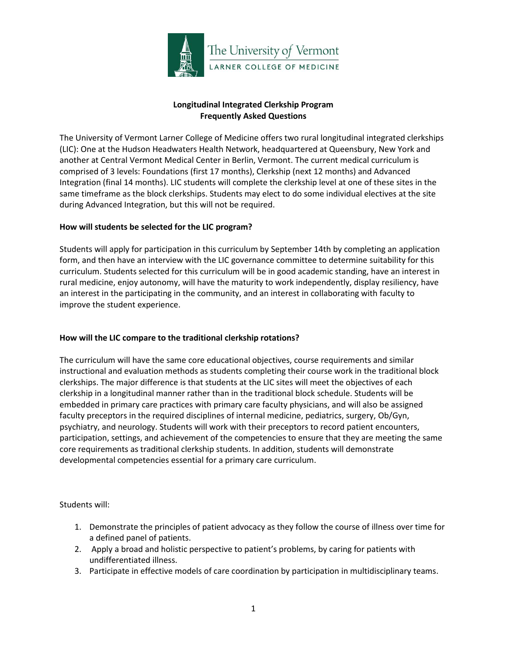

# **Longitudinal Integrated Clerkship Program Frequently Asked Questions**

The University of Vermont Larner College of Medicine offers two rural longitudinal integrated clerkships (LIC): One at the Hudson Headwaters Health Network, headquartered at Queensbury, New York and another at Central Vermont Medical Center in Berlin, Vermont. The current medical curriculum is comprised of 3 levels: Foundations (first 17 months), Clerkship (next 12 months) and Advanced Integration (final 14 months). LIC students will complete the clerkship level at one of these sites in the same timeframe as the block clerkships. Students may elect to do some individual electives at the site during Advanced Integration, but this will not be required.

## **How will students be selected for the LIC program?**

Students will apply for participation in this curriculum by September 14th by completing an application form, and then have an interview with the LIC governance committee to determine suitability for this curriculum. Students selected for this curriculum will be in good academic standing, have an interest in rural medicine, enjoy autonomy, will have the maturity to work independently, display resiliency, have an interest in the participating in the community, and an interest in collaborating with faculty to improve the student experience.

### **How will the LIC compare to the traditional clerkship rotations?**

The curriculum will have the same core educational objectives, course requirements and similar instructional and evaluation methods as students completing their course work in the traditional block clerkships. The major difference is that students at the LIC sites will meet the objectives of each clerkship in a longitudinal manner rather than in the traditional block schedule. Students will be embedded in primary care practices with primary care faculty physicians, and will also be assigned faculty preceptors in the required disciplines of internal medicine, pediatrics, surgery, Ob/Gyn, psychiatry, and neurology. Students will work with their preceptors to record patient encounters, participation, settings, and achievement of the competencies to ensure that they are meeting the same core requirements as traditional clerkship students. In addition, students will demonstrate developmental competencies essential for a primary care curriculum.

Students will:

- 1. Demonstrate the principles of patient advocacy as they follow the course of illness over time for a defined panel of patients.
- 2. Apply a broad and holistic perspective to patient's problems, by caring for patients with undifferentiated illness.
- 3. Participate in effective models of care coordination by participation in multidisciplinary teams.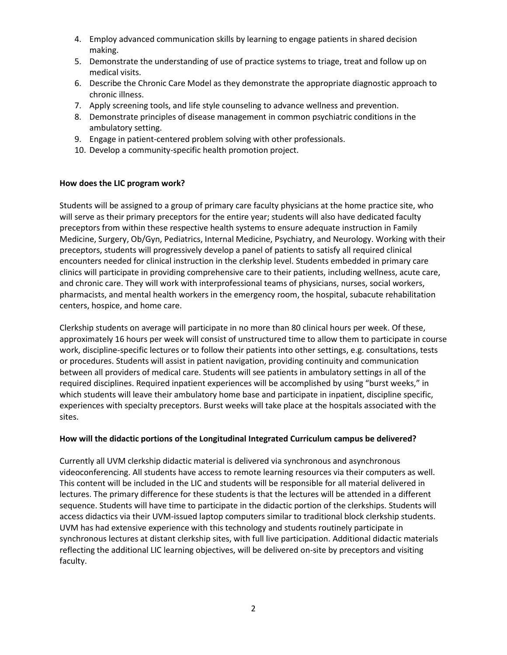- 4. Employ advanced communication skills by learning to engage patients in shared decision making.
- 5. Demonstrate the understanding of use of practice systems to triage, treat and follow up on medical visits.
- 6. Describe the Chronic Care Model as they demonstrate the appropriate diagnostic approach to chronic illness.
- 7. Apply screening tools, and life style counseling to advance wellness and prevention.
- 8. Demonstrate principles of disease management in common psychiatric conditions in the ambulatory setting.
- 9. Engage in patient-centered problem solving with other professionals.
- 10. Develop a community-specific health promotion project.

### **How does the LIC program work?**

Students will be assigned to a group of primary care faculty physicians at the home practice site, who will serve as their primary preceptors for the entire year; students will also have dedicated faculty preceptors from within these respective health systems to ensure adequate instruction in Family Medicine, Surgery, Ob/Gyn, Pediatrics, Internal Medicine, Psychiatry, and Neurology. Working with their preceptors, students will progressively develop a panel of patients to satisfy all required clinical encounters needed for clinical instruction in the clerkship level. Students embedded in primary care clinics will participate in providing comprehensive care to their patients, including wellness, acute care, and chronic care. They will work with interprofessional teams of physicians, nurses, social workers, pharmacists, and mental health workers in the emergency room, the hospital, subacute rehabilitation centers, hospice, and home care.

Clerkship students on average will participate in no more than 80 clinical hours per week. Of these, approximately 16 hours per week will consist of unstructured time to allow them to participate in course work, discipline-specific lectures or to follow their patients into other settings, e.g. consultations, tests or procedures. Students will assist in patient navigation, providing continuity and communication between all providers of medical care. Students will see patients in ambulatory settings in all of the required disciplines. Required inpatient experiences will be accomplished by using "burst weeks," in which students will leave their ambulatory home base and participate in inpatient, discipline specific, experiences with specialty preceptors. Burst weeks will take place at the hospitals associated with the sites.

### **How will the didactic portions of the Longitudinal Integrated Curriculum campus be delivered?**

Currently all UVM clerkship didactic material is delivered via synchronous and asynchronous videoconferencing. All students have access to remote learning resources via their computers as well. This content will be included in the LIC and students will be responsible for all material delivered in lectures. The primary difference for these students is that the lectures will be attended in a different sequence. Students will have time to participate in the didactic portion of the clerkships. Students will access didactics via their UVM-issued laptop computers similar to traditional block clerkship students. UVM has had extensive experience with this technology and students routinely participate in synchronous lectures at distant clerkship sites, with full live participation. Additional didactic materials reflecting the additional LIC learning objectives, will be delivered on-site by preceptors and visiting faculty.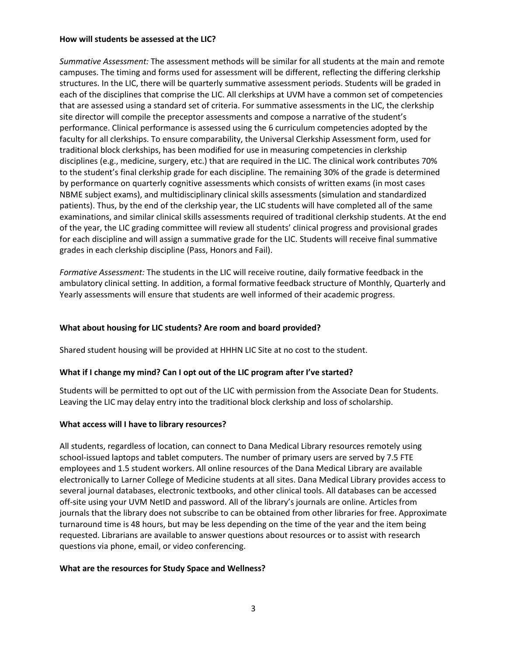#### **How will students be assessed at the LIC?**

*Summative Assessment:* The assessment methods will be similar for all students at the main and remote campuses. The timing and forms used for assessment will be different, reflecting the differing clerkship structures. In the LIC, there will be quarterly summative assessment periods. Students will be graded in each of the disciplines that comprise the LIC. All clerkships at UVM have a common set of competencies that are assessed using a standard set of criteria. For summative assessments in the LIC, the clerkship site director will compile the preceptor assessments and compose a narrative of the student's performance. Clinical performance is assessed using the 6 curriculum competencies adopted by the faculty for all clerkships. To ensure comparability, the Universal Clerkship Assessment form, used for traditional block clerkships, has been modified for use in measuring competencies in clerkship disciplines (e.g., medicine, surgery, etc.) that are required in the LIC. The clinical work contributes 70% to the student's final clerkship grade for each discipline. The remaining 30% of the grade is determined by performance on quarterly cognitive assessments which consists of written exams (in most cases NBME subject exams), and multidisciplinary clinical skills assessments (simulation and standardized patients). Thus, by the end of the clerkship year, the LIC students will have completed all of the same examinations, and similar clinical skills assessments required of traditional clerkship students. At the end of the year, the LIC grading committee will review all students' clinical progress and provisional grades for each discipline and will assign a summative grade for the LIC. Students will receive final summative grades in each clerkship discipline (Pass, Honors and Fail).

*Formative Assessment:* The students in the LIC will receive routine, daily formative feedback in the ambulatory clinical setting. In addition, a formal formative feedback structure of Monthly, Quarterly and Yearly assessments will ensure that students are well informed of their academic progress.

## **What about housing for LIC students? Are room and board provided?**

Shared student housing will be provided at HHHN LIC Site at no cost to the student.

### **What if I change my mind? Can I opt out of the LIC program after I've started?**

Students will be permitted to opt out of the LIC with permission from the Associate Dean for Students. Leaving the LIC may delay entry into the traditional block clerkship and loss of scholarship.

### **What access will I have to library resources?**

All students, regardless of location, can connect to Dana Medical Library resources remotely using school-issued laptops and tablet computers. The number of primary users are served by 7.5 FTE employees and 1.5 student workers. All online resources of the Dana Medical Library are available electronically to Larner College of Medicine students at all sites. Dana Medical Library provides access to several journal databases, electronic textbooks, and other clinical tools. All databases can be accessed off-site using your UVM NetID and password. All of the library's journals are online. Articles from journals that the library does not subscribe to can be obtained from other libraries for free. Approximate turnaround time is 48 hours, but may be less depending on the time of the year and the item being requested. Librarians are available to answer questions about resources or to assist with research questions via phone, email, or video conferencing.

### **What are the resources for Study Space and Wellness?**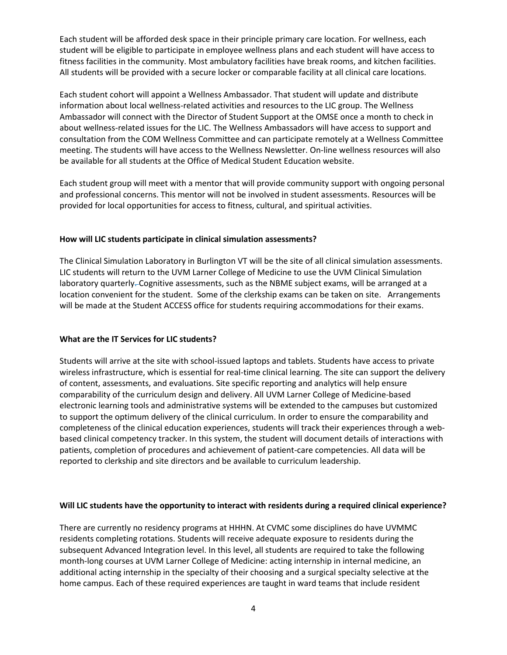Each student will be afforded desk space in their principle primary care location. For wellness, each student will be eligible to participate in employee wellness plans and each student will have access to fitness facilities in the community. Most ambulatory facilities have break rooms, and kitchen facilities. All students will be provided with a secure locker or comparable facility at all clinical care locations.

Each student cohort will appoint a Wellness Ambassador. That student will update and distribute information about local wellness-related activities and resources to the LIC group. The Wellness Ambassador will connect with the Director of Student Support at the OMSE once a month to check in about wellness-related issues for the LIC. The Wellness Ambassadors will have access to support and consultation from the COM Wellness Committee and can participate remotely at a Wellness Committee meeting. The students will have access to the Wellness Newsletter. On-line wellness resources will also be available for all students at the Office of Medical Student Education website.

Each student group will meet with a mentor that will provide community support with ongoing personal and professional concerns. This mentor will not be involved in student assessments. Resources will be provided for local opportunities for access to fitness, cultural, and spiritual activities.

#### **How will LIC students participate in clinical simulation assessments?**

The Clinical Simulation Laboratory in Burlington VT will be the site of all clinical simulation assessments. LIC students will return to the UVM Larner College of Medicine to use the UVM Clinical Simulation laboratory quarterly. Cognitive assessments, such as the NBME subject exams, will be arranged at a location convenient for the student. Some of the clerkship exams can be taken on site. Arrangements will be made at the Student ACCESS office for students requiring accommodations for their exams.

#### **What are the IT Services for LIC students?**

Students will arrive at the site with school-issued laptops and tablets. Students have access to private wireless infrastructure, which is essential for real-time clinical learning. The site can support the delivery of content, assessments, and evaluations. Site specific reporting and analytics will help ensure comparability of the curriculum design and delivery. All UVM Larner College of Medicine-based electronic learning tools and administrative systems will be extended to the campuses but customized to support the optimum delivery of the clinical curriculum. In order to ensure the comparability and completeness of the clinical education experiences, students will track their experiences through a webbased clinical competency tracker. In this system, the student will document details of interactions with patients, completion of procedures and achievement of patient-care competencies. All data will be reported to clerkship and site directors and be available to curriculum leadership.

#### **Will LIC students have the opportunity to interact with residents during a required clinical experience?**

There are currently no residency programs at HHHN. At CVMC some disciplines do have UVMMC residents completing rotations. Students will receive adequate exposure to residents during the subsequent Advanced Integration level. In this level, all students are required to take the following month-long courses at UVM Larner College of Medicine: acting internship in internal medicine, an additional acting internship in the specialty of their choosing and a surgical specialty selective at the home campus. Each of these required experiences are taught in ward teams that include resident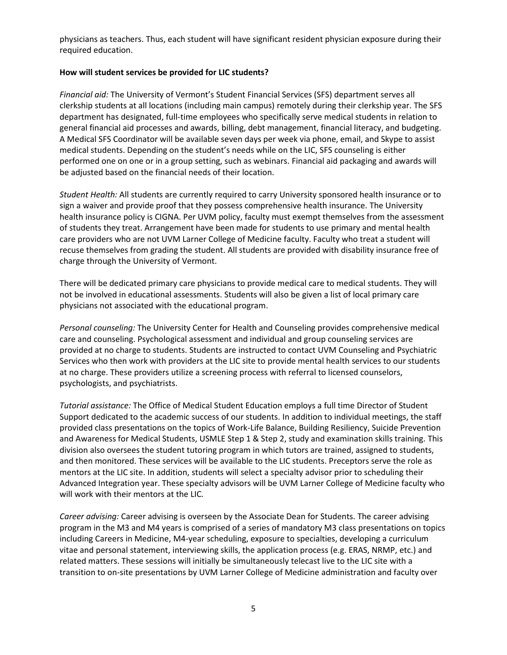physicians as teachers. Thus, each student will have significant resident physician exposure during their required education.

#### **How will student services be provided for LIC students?**

*Financial aid:* The University of Vermont's Student Financial Services (SFS) department serves all clerkship students at all locations (including main campus) remotely during their clerkship year. The SFS department has designated, full-time employees who specifically serve medical students in relation to general financial aid processes and awards, billing, debt management, financial literacy, and budgeting. A Medical SFS Coordinator will be available seven days per week via phone, email, and Skype to assist medical students. Depending on the student's needs while on the LIC, SFS counseling is either performed one on one or in a group setting, such as webinars. Financial aid packaging and awards will be adjusted based on the financial needs of their location.

*Student Health:* All students are currently required to carry University sponsored health insurance or to sign a waiver and provide proof that they possess comprehensive health insurance. The University health insurance policy is CIGNA. Per UVM policy, faculty must exempt themselves from the assessment of students they treat. Arrangement have been made for students to use primary and mental health care providers who are not UVM Larner College of Medicine faculty. Faculty who treat a student will recuse themselves from grading the student. All students are provided with disability insurance free of charge through the University of Vermont.

There will be dedicated primary care physicians to provide medical care to medical students. They will not be involved in educational assessments. Students will also be given a list of local primary care physicians not associated with the educational program.

*Personal counseling:* The University Center for Health and Counseling provides comprehensive medical care and counseling. Psychological assessment and individual and group counseling services are provided at no charge to students. Students are instructed to contact UVM Counseling and Psychiatric Services who then work with providers at the LIC site to provide mental health services to our students at no charge. These providers utilize a screening process with referral to licensed counselors, psychologists, and psychiatrists.

*Tutorial assistance:* The Office of Medical Student Education employs a full time Director of Student Support dedicated to the academic success of our students. In addition to individual meetings, the staff provided class presentations on the topics of Work-Life Balance, Building Resiliency, Suicide Prevention and Awareness for Medical Students, USMLE Step 1 & Step 2, study and examination skills training. This division also oversees the student tutoring program in which tutors are trained, assigned to students, and then monitored. These services will be available to the LIC students. Preceptors serve the role as mentors at the LIC site. In addition, students will select a specialty advisor prior to scheduling their Advanced Integration year. These specialty advisors will be UVM Larner College of Medicine faculty who will work with their mentors at the LIC*.*

*Career advising:* Career advising is overseen by the Associate Dean for Students. The career advising program in the M3 and M4 years is comprised of a series of mandatory M3 class presentations on topics including Careers in Medicine, M4-year scheduling, exposure to specialties, developing a curriculum vitae and personal statement, interviewing skills, the application process (e.g. ERAS, NRMP, etc.) and related matters. These sessions will initially be simultaneously telecast live to the LIC site with a transition to on-site presentations by UVM Larner College of Medicine administration and faculty over